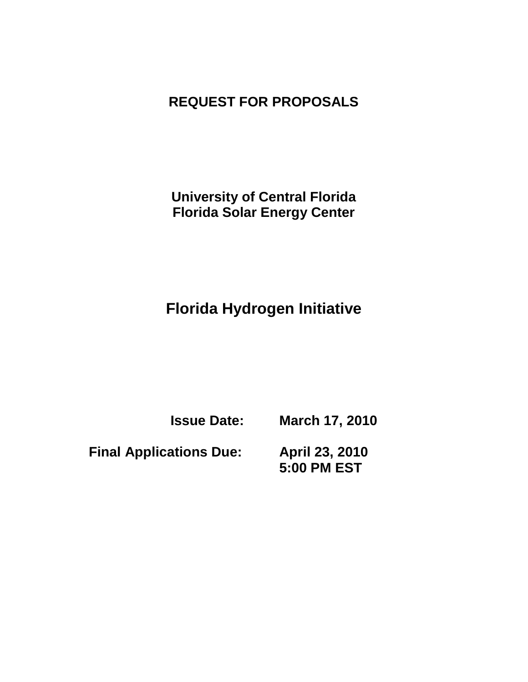# **REQUEST FOR PROPOSALS**

**University of Central Florida Florida Solar Energy Center**

**Florida Hydrogen Initiative**

 **Issue Date: March 17, 2010**

 **Final Applications Due: April 23, 2010**

**5:00 PM EST**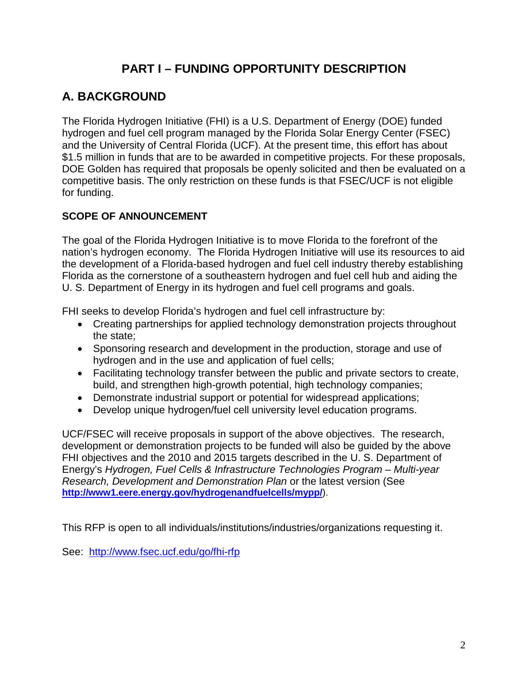### **PART I – FUNDING OPPORTUNITY DESCRIPTION**

# **A. BACKGROUND**

The Florida Hydrogen Initiative (FHI) is a U.S. Department of Energy (DOE) funded hydrogen and fuel cell program managed by the Florida Solar Energy Center (FSEC) and the University of Central Florida (UCF). At the present time, this effort has about \$1.5 million in funds that are to be awarded in competitive projects. For these proposals, DOE Golden has required that proposals be openly solicited and then be evaluated on a competitive basis. The only restriction on these funds is that FSEC/UCF is not eligible for funding.

#### **SCOPE OF ANNOUNCEMENT**

The goal of the Florida Hydrogen Initiative is to move Florida to the forefront of the nation's hydrogen economy. The Florida Hydrogen Initiative will use its resources to aid the development of a Florida-based hydrogen and fuel cell industry thereby establishing Florida as the cornerstone of a southeastern hydrogen and fuel cell hub and aiding the U. S. Department of Energy in its hydrogen and fuel cell programs and goals.

FHI seeks to develop Florida's hydrogen and fuel cell infrastructure by:

- Creating partnerships for applied technology demonstration projects throughout the state;
- Sponsoring research and development in the production, storage and use of hydrogen and in the use and application of fuel cells;
- Facilitating technology transfer between the public and private sectors to create, build, and strengthen high-growth potential, high technology companies;
- Demonstrate industrial support or potential for widespread applications;
- Develop unique hydrogen/fuel cell university level education programs.

UCF/FSEC will receive proposals in support of the above objectives. The research, development or demonstration projects to be funded will also be guided by the above FHI objectives and the 2010 and 2015 targets described in the U. S. Department of Energy's *Hydrogen, Fuel Cells & Infrastructure Technologies Program – Multi-year Research, Development and Demonstration Plan* or the latest version (See **<http://www1.eere.energy.gov/hydrogenandfuelcells/mypp/>**).

This RFP is open to all individuals/institutions/industries/organizations requesting it.

See: <http://www.fsec.ucf.edu/go/fhi-rfp>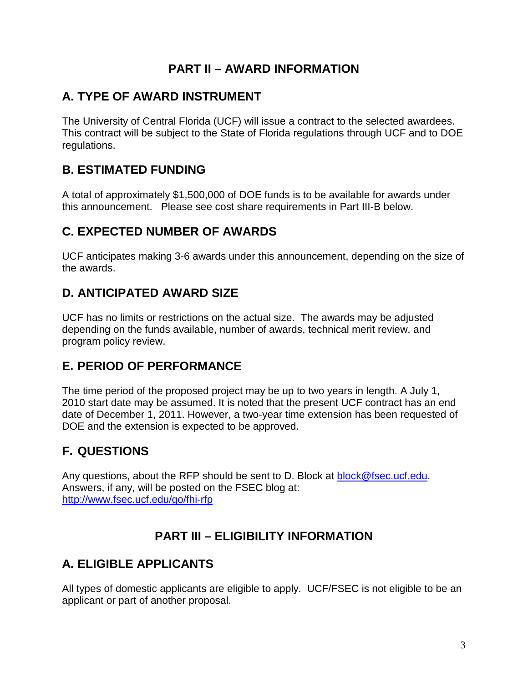### **PART II – AWARD INFORMATION**

### **A. TYPE OF AWARD INSTRUMENT**

The University of Central Florida (UCF) will issue a contract to the selected awardees. This contract will be subject to the State of Florida regulations through UCF and to DOE regulations.

### **B. ESTIMATED FUNDING**

A total of approximately \$1,500,000 of DOE funds is to be available for awards under this announcement. Please see cost share requirements in Part III-B below.

### **C. EXPECTED NUMBER OF AWARDS**

UCF anticipates making 3-6 awards under this announcement, depending on the size of the awards.

# **D. ANTICIPATED AWARD SIZE**

UCF has no limits or restrictions on the actual size. The awards may be adjusted depending on the funds available, number of awards, technical merit review, and program policy review.

# **E. PERIOD OF PERFORMANCE**

The time period of the proposed project may be up to two years in length. A July 1, 2010 start date may be assumed. It is noted that the present UCF contract has an end date of December 1, 2011. However, a two-year time extension has been requested of DOE and the extension is expected to be approved.

# **F. QUESTIONS**

Any questions, about the RFP should be sent to D. Block at [block@fsec.ucf.edu.](mailto:block@fsec.ucf.edu) Answers, if any, will be posted on the FSEC blog at: <http://www.fsec.ucf.edu/go/fhi-rfp>

# **PART III – ELIGIBILITY INFORMATION**

# **A. ELIGIBLE APPLICANTS**

All types of domestic applicants are eligible to apply. UCF/FSEC is not eligible to be an applicant or part of another proposal.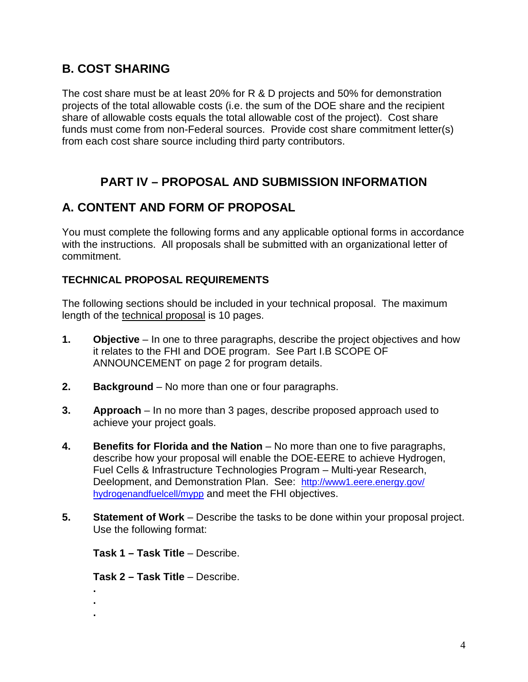### **B. COST SHARING**

The cost share must be at least 20% for R & D projects and 50% for demonstration projects of the total allowable costs (i.e. the sum of the DOE share and the recipient share of allowable costs equals the total allowable cost of the project). Cost share funds must come from non-Federal sources. Provide cost share commitment letter(s) from each cost share source including third party contributors.

# **PART IV – PROPOSAL AND SUBMISSION INFORMATION**

### **A. CONTENT AND FORM OF PROPOSAL**

You must complete the following forms and any applicable optional forms in accordance with the instructions. All proposals shall be submitted with an organizational letter of commitment.

#### **TECHNICAL PROPOSAL REQUIREMENTS**

The following sections should be included in your technical proposal. The maximum length of the technical proposal is 10 pages.

- **1. Objective** In one to three paragraphs, describe the project objectives and how it relates to the FHI and DOE program. See Part I.B SCOPE OF ANNOUNCEMENT on page 2 for program details.
- **2. Background** No more than one or four paragraphs.
- **3. Approach** In no more than 3 pages, describe proposed approach used to achieve your project goals.
- **4. Benefits for Florida and the Nation** No more than one to five paragraphs, describe how your proposal will enable the DOE-EERE to achieve Hydrogen, Fuel Cells & Infrastructure Technologies Program – Multi-year Research, Deelopment, and Demonstration Plan. See: [http://www1.eere.energy.gov/](http://www1.eere.energy.gov/%20hydrogenandfuelcell/mypp)  [hydrogenandfuelcell/mypp](http://www1.eere.energy.gov/%20hydrogenandfuelcell/mypp) and meet the FHI objectives.
- **5. Statement of Work** Describe the tasks to be done within your proposal project. Use the following format:

**Task 1 – Task Title** – Describe.

**Task 2 – Task Title** – Describe.

**. . .**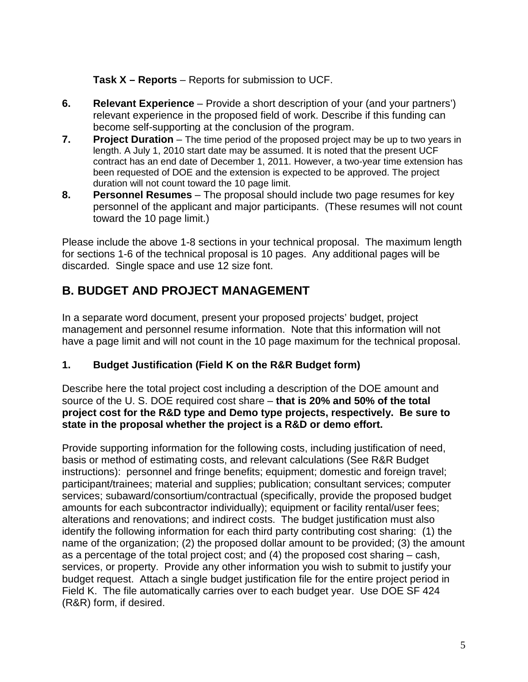**Task X – Reports** – Reports for submission to UCF.

- **6. Relevant Experience** Provide a short description of your (and your partners') relevant experience in the proposed field of work. Describe if this funding can become self-supporting at the conclusion of the program.
- **7. Project Duration** The time period of the proposed project may be up to two years in length. A July 1, 2010 start date may be assumed. It is noted that the present UCF contract has an end date of December 1, 2011. However, a two-year time extension has been requested of DOE and the extension is expected to be approved. The project duration will not count toward the 10 page limit.
- **8. Personnel Resumes** The proposal should include two page resumes for key personnel of the applicant and major participants. (These resumes will not count toward the 10 page limit.)

Please include the above 1-8 sections in your technical proposal. The maximum length for sections 1-6 of the technical proposal is 10 pages. Any additional pages will be discarded. Single space and use 12 size font.

### **B. BUDGET AND PROJECT MANAGEMENT**

In a separate word document, present your proposed projects' budget, project management and personnel resume information. Note that this information will not have a page limit and will not count in the 10 page maximum for the technical proposal.

#### **1. Budget Justification (Field K on the R&R Budget form)**

Describe here the total project cost including a description of the DOE amount and source of the U. S. DOE required cost share – **that is 20% and 50% of the total project cost for the R&D type and Demo type projects, respectively. Be sure to state in the proposal whether the project is a R&D or demo effort.**

Provide supporting information for the following costs, including justification of need, basis or method of estimating costs, and relevant calculations (See R&R Budget instructions): personnel and fringe benefits; equipment; domestic and foreign travel; participant/trainees; material and supplies; publication; consultant services; computer services; subaward/consortium/contractual (specifically, provide the proposed budget amounts for each subcontractor individually); equipment or facility rental/user fees; alterations and renovations; and indirect costs. The budget justification must also identify the following information for each third party contributing cost sharing: (1) the name of the organization; (2) the proposed dollar amount to be provided; (3) the amount as a percentage of the total project cost; and (4) the proposed cost sharing – cash, services, or property. Provide any other information you wish to submit to justify your budget request. Attach a single budget justification file for the entire project period in Field K. The file automatically carries over to each budget year. Use DOE SF 424 (R&R) form, if desired.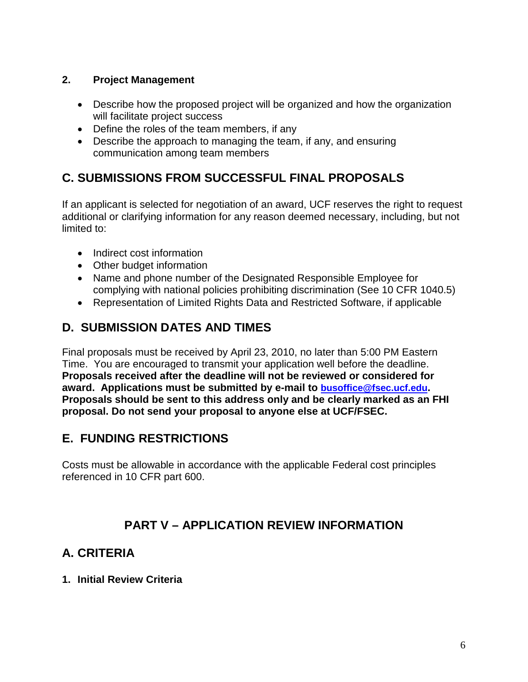#### **2. Project Management**

- Describe how the proposed project will be organized and how the organization will facilitate project success
- Define the roles of the team members, if any
- Describe the approach to managing the team, if any, and ensuring communication among team members

# **C. SUBMISSIONS FROM SUCCESSFUL FINAL PROPOSALS**

If an applicant is selected for negotiation of an award, UCF reserves the right to request additional or clarifying information for any reason deemed necessary, including, but not limited to:

- Indirect cost information
- Other budget information
- Name and phone number of the Designated Responsible Employee for complying with national policies prohibiting discrimination (See 10 CFR 1040.5)
- Representation of Limited Rights Data and Restricted Software, if applicable

### **D. SUBMISSION DATES AND TIMES**

Final proposals must be received by April 23, 2010, no later than 5:00 PM Eastern Time. You are encouraged to transmit your application well before the deadline. **Proposals received after the deadline will not be reviewed or considered for award. Applications must be submitted by e-mail to [busoffice@fsec.ucf.edu.](mailto:busoffice@fsec.ucf.edu) Proposals should be sent to this address only and be clearly marked as an FHI proposal. Do not send your proposal to anyone else at UCF/FSEC.**

### **E. FUNDING RESTRICTIONS**

Costs must be allowable in accordance with the applicable Federal cost principles referenced in 10 CFR part 600.

# **PART V – APPLICATION REVIEW INFORMATION**

### **A. CRITERIA**

**1. Initial Review Criteria**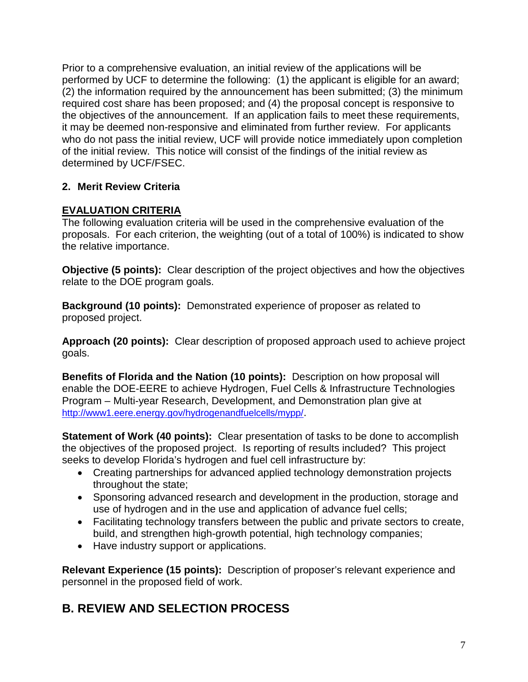Prior to a comprehensive evaluation, an initial review of the applications will be performed by UCF to determine the following: (1) the applicant is eligible for an award; (2) the information required by the announcement has been submitted; (3) the minimum required cost share has been proposed; and (4) the proposal concept is responsive to the objectives of the announcement. If an application fails to meet these requirements, it may be deemed non-responsive and eliminated from further review. For applicants who do not pass the initial review, UCF will provide notice immediately upon completion of the initial review. This notice will consist of the findings of the initial review as determined by UCF/FSEC.

#### **2. Merit Review Criteria**

#### **EVALUATION CRITERIA**

The following evaluation criteria will be used in the comprehensive evaluation of the proposals. For each criterion, the weighting (out of a total of 100%) is indicated to show the relative importance.

**Objective (5 points):** Clear description of the project objectives and how the objectives relate to the DOE program goals.

**Background (10 points):** Demonstrated experience of proposer as related to proposed project.

**Approach (20 points):** Clear description of proposed approach used to achieve project goals.

**Benefits of Florida and the Nation (10 points):** Description on how proposal will enable the DOE-EERE to achieve Hydrogen, Fuel Cells & Infrastructure Technologies Program – Multi-year Research, Development, and Demonstration plan give at [http://www1.eere.energy.gov/hydrogenandfuelcells/mypp/.](http://www1.eere.energy.gov/hydrogenandfuelcells/mypp/)

**Statement of Work (40 points):** Clear presentation of tasks to be done to accomplish the objectives of the proposed project. Is reporting of results included? This project seeks to develop Florida's hydrogen and fuel cell infrastructure by:

- Creating partnerships for advanced applied technology demonstration projects throughout the state;
- Sponsoring advanced research and development in the production, storage and use of hydrogen and in the use and application of advance fuel cells;
- Facilitating technology transfers between the public and private sectors to create, build, and strengthen high-growth potential, high technology companies;
- Have industry support or applications.

**Relevant Experience (15 points):** Description of proposer's relevant experience and personnel in the proposed field of work.

# **B. REVIEW AND SELECTION PROCESS**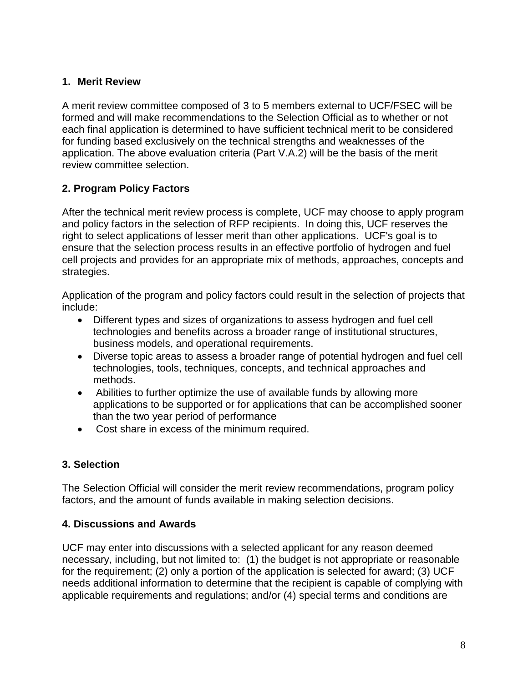#### **1. Merit Review**

A merit review committee composed of 3 to 5 members external to UCF/FSEC will be formed and will make recommendations to the Selection Official as to whether or not each final application is determined to have sufficient technical merit to be considered for funding based exclusively on the technical strengths and weaknesses of the application. The above evaluation criteria (Part V.A.2) will be the basis of the merit review committee selection.

#### **2. Program Policy Factors**

After the technical merit review process is complete, UCF may choose to apply program and policy factors in the selection of RFP recipients. In doing this, UCF reserves the right to select applications of lesser merit than other applications. UCF's goal is to ensure that the selection process results in an effective portfolio of hydrogen and fuel cell projects and provides for an appropriate mix of methods, approaches, concepts and strategies.

Application of the program and policy factors could result in the selection of projects that include:

- Different types and sizes of organizations to assess hydrogen and fuel cell technologies and benefits across a broader range of institutional structures, business models, and operational requirements.
- Diverse topic areas to assess a broader range of potential hydrogen and fuel cell technologies, tools, techniques, concepts, and technical approaches and methods.
- Abilities to further optimize the use of available funds by allowing more applications to be supported or for applications that can be accomplished sooner than the two year period of performance
- Cost share in excess of the minimum required.

#### **3. Selection**

The Selection Official will consider the merit review recommendations, program policy factors, and the amount of funds available in making selection decisions.

#### **4. Discussions and Awards**

UCF may enter into discussions with a selected applicant for any reason deemed necessary, including, but not limited to: (1) the budget is not appropriate or reasonable for the requirement; (2) only a portion of the application is selected for award; (3) UCF needs additional information to determine that the recipient is capable of complying with applicable requirements and regulations; and/or (4) special terms and conditions are